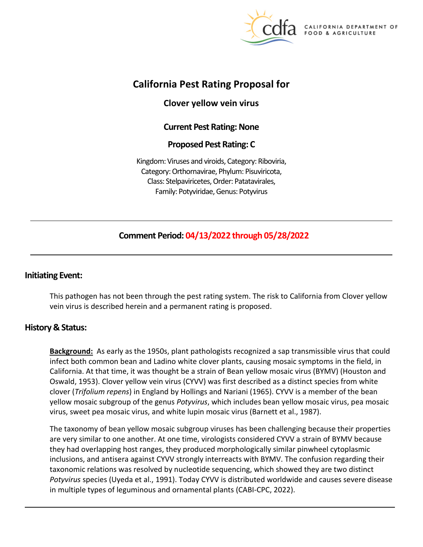

A DEPARTMENT OF FOOD & AGRICULTURE

# **California Pest Rating Proposal for**

**Clover yellow vein virus** 

# **Current Pest Rating: None**

# **Proposed Pest Rating: C**

Kingdom: Viruses and viroids, Category: Riboviria, Category: Orthornavirae, Phylum: Pisuviricota, Class: Stelpaviricetes, Order: Patatavirales, Family: Potyviridae, Genus: Potyvirus

# **Comment Period: 04/13/2022 through 05/28/2022**

# **Initiating Event:**

This pathogen has not been through the pest rating system. The risk to California from Clover yellow vein virus is described herein and a permanent rating is proposed.

# **History & Status:**

**Background:** As early as the 1950s, plant pathologists recognized a sap transmissible virus that could infect both common bean and Ladino white clover plants, causing mosaic symptoms in the field, in California. At that time, it was thought be a strain of Bean yellow mosaic virus (BYMV) (Houston and Oswald, 1953). Clover yellow vein virus (CYVV) was first described as a distinct species from white clover (*Trifolium repens*) in England by Hollings and Nariani (1965). CYVV is a member of the bean yellow mosaic subgroup of the genus *Potyvirus*, which includes bean yellow mosaic virus, pea mosaic virus, sweet pea mosaic virus, and white lupin mosaic virus (Barnett et al., 1987).

The taxonomy of bean yellow mosaic subgroup viruses has been challenging because their properties are very similar to one another. At one time, virologists considered CYVV a strain of BYMV because they had overlapping host ranges, they produced morphologically similar pinwheel cytoplasmic inclusions, and antisera against CYVV strongly interreacts with BYMV. The confusion regarding their taxonomic relations was resolved by nucleotide sequencing, which showed they are two distinct *Potyvirus* species (Uyeda et al., 1991). Today CYVV is distributed worldwide and causes severe disease in multiple types of leguminous and ornamental plants (CABI-CPC, 2022).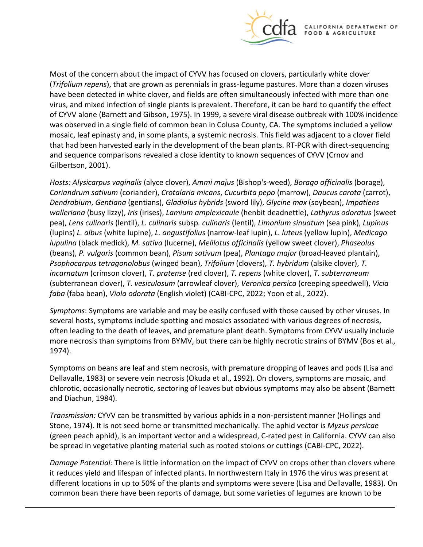

Most of the concern about the impact of CYVV has focused on clovers, particularly white clover (*Trifolium repens*), that are grown as perennials in grass-legume pastures. More than a dozen viruses have been detected in white clover, and fields are often simultaneously infected with more than one virus, and mixed infection of single plants is prevalent. Therefore, it can be hard to quantify the effect of CYVV alone (Barnett and Gibson, 1975). In 1999, a severe viral disease outbreak with 100% incidence was observed in a single field of common bean in Colusa County, CA. The symptoms included a yellow mosaic, leaf epinasty and, in some plants, a systemic necrosis. This field was adjacent to a clover field that had been harvested early in the development of the bean plants. RT-PCR with direct-sequencing and sequence comparisons revealed a close identity to known sequences of CYVV (Crnov and Gilbertson, 2001).

*Hosts: Alysicarpus vaginalis* (alyce clover), *Ammi majus* (Bishop's-weed), *Borago officinalis* (borage), *Coriandrum sativum* (coriander), *Crotalaria micans*, *Cucurbita pepo* (marrow), *Daucus carota* (carrot), *Dendrobium*, *Gentiana* (gentians), *Gladiolus hybrids* (sword lily), *Glycine max* (soybean), *Impatiens walleriana* (busy lizzy), *Iris* (irises), *Lamium amplexicaule* (henbit deadnettle), *Lathyrus odoratus* (sweet pea), *Lens culinaris* (lentil), *L. culinaris* subsp*. culinaris* (lentil), *Limonium sinuatum* (sea pink), *Lupinus*  (lupins) *L. albus* (white lupine), *L. angustifolius* (narrow-leaf lupin), *L. luteus* (yellow lupin), *Medicago lupulina* (black medick), *M. sativa* (lucerne), *Melilotus officinalis* (yellow sweet clover), *Phaseolus*  (beans), *P. vulgaris* (common bean), *Pisum sativum* (pea), *Plantago major* (broad-leaved plantain), *Psophocarpus tetragonolobus* (winged bean), *Trifolium* (clovers), *T. hybridum* (alsike clover), *T. incarnatum* (crimson clover), *T. pratense* (red clover), *T. repens* (white clover), *T. subterraneum*  (subterranean clover), *T. vesiculosum* (arrowleaf clover), *Veronica persica* (creeping speedwell), *Vicia faba* (faba bean), *Viola odorata* (English violet) (CABI-CPC, 2022; Yoon et al., 2022).

*Symptoms*: Symptoms are variable and may be easily confused with those caused by other viruses. In several hosts, symptoms include spotting and mosaics associated with various degrees of necrosis, often leading to the death of leaves, and premature plant death. Symptoms from CYVV usually include more necrosis than symptoms from BYMV, but there can be highly necrotic strains of BYMV (Bos et al., 1974).

Symptoms on beans are leaf and stem necrosis, with premature dropping of leaves and pods (Lisa and Dellavalle, 1983) or severe vein necrosis (Okuda et al., 1992). On clovers, symptoms are mosaic, and chlorotic, occasionally necrotic, sectoring of leaves but obvious symptoms may also be absent (Barnett and Diachun, 1984).

*Transmission:* CYVV can be transmitted by various aphids in a non-persistent manner (Hollings and Stone, 1974). It is not seed borne or transmitted mechanically. The aphid vector is *Myzus persicae*  (green peach aphid), is an important vector and a widespread, C-rated pest in California. CYVV can also be spread in vegetative planting material such as rooted stolons or cuttings (CABI-CPC, 2022).

*Damage Potential:* There is little information on the impact of CYVV on crops other than clovers where it reduces yield and lifespan of infected plants. In northwestern Italy in 1976 the virus was present at different locations in up to 50% of the plants and symptoms were severe (Lisa and Dellavalle, 1983). On common bean there have been reports of damage, but some varieties of legumes are known to be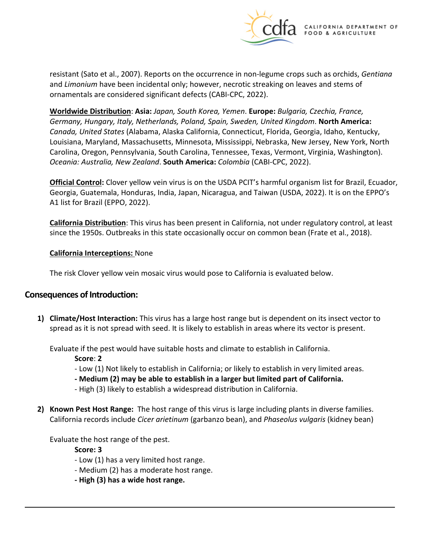

resistant (Sato et al., 2007). Reports on the occurrence in non-legume crops such as orchids, *Gentiana*  and *Limonium* have been incidental only; however, necrotic streaking on leaves and stems of ornamentals are considered significant defects (CABI-CPC, 2022).

**Worldwide Distribution**: **Asia:** *Japan, South Korea, Yemen*. **Europe:** *Bulgaria, Czechia, France, Germany, Hungary, Italy, Netherlands, Poland, Spain, Sweden, United Kingdom*. **North America:**  *Canada, United States* (Alabama, Alaska California, Connecticut, Florida, Georgia, Idaho, Kentucky, Louisiana, Maryland, Massachusetts, Minnesota, Mississippi, Nebraska, New Jersey, New York, North Carolina, Oregon, Pennsylvania, South Carolina, Tennessee, Texas, Vermont, Virginia, Washington). *Oceania: Australia, New Zealand*. **South America:** *Colombia* (CABI-CPC, 2022).

**Official Control:** Clover yellow vein virus is on the USDA PCIT's harmful organism list for Brazil, Ecuador, Georgia, Guatemala, Honduras, India, Japan, Nicaragua, and Taiwan (USDA, 2022). It is on the EPPO's A1 list for Brazil (EPPO, 2022).

**California Distribution**: This virus has been present in California, not under regulatory control, at least since the 1950s. Outbreaks in this state occasionally occur on common bean (Frate et al., 2018).

### **California Interceptions:** None

The risk Clover yellow vein mosaic virus would pose to California is evaluated below.

### **Consequences of Introduction:**

**1) Climate/Host Interaction:** This virus has a large host range but is dependent on its insect vector to spread as it is not spread with seed. It is likely to establish in areas where its vector is present.

Evaluate if the pest would have suitable hosts and climate to establish in California.

**Score**: **2** 

- Low (1) Not likely to establish in California; or likely to establish in very limited areas.
- **- Medium (2) may be able to establish in a larger but limited part of California.**
- High (3) likely to establish a widespread distribution in California.
- **2) Known Pest Host Range:** The host range of this virus is large including plants in diverse families. California records include *Cicer arietinum* (garbanzo bean), and *Phaseolus vulgaris* (kidney bean)

Evaluate the host range of the pest.

**Score: 3** 

- Low (1) has a very limited host range.
- Medium (2) has a moderate host range.
- **- High (3) has a wide host range.**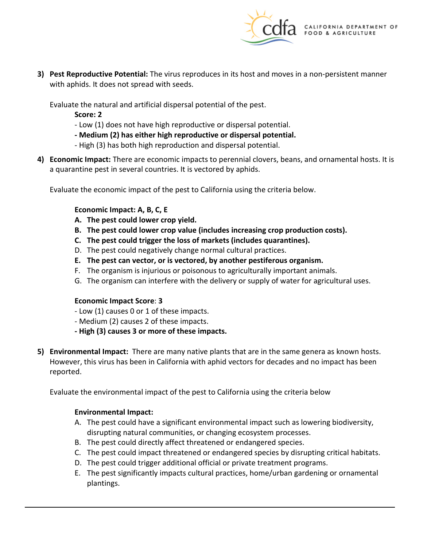

**3) Pest Reproductive Potential:** The virus reproduces in its host and moves in a non-persistent manner with aphids. It does not spread with seeds.

Evaluate the natural and artificial dispersal potential of the pest.

**Score: 2** 

- Low (1) does not have high reproductive or dispersal potential.
- **- Medium (2) has either high reproductive or dispersal potential.**
- High (3) has both high reproduction and dispersal potential.
- **4) Economic Impact:** There are economic impacts to perennial clovers, beans, and ornamental hosts. It is a quarantine pest in several countries. It is vectored by aphids.

Evaluate the economic impact of the pest to California using the criteria below.

### **Economic Impact: A, B, C, E**

- **A. The pest could lower crop yield.**
- **B. The pest could lower crop value (includes increasing crop production costs).**
- **C. The pest could trigger the loss of markets (includes quarantines).**
- D. The pest could negatively change normal cultural practices.
- **E. The pest can vector, or is vectored, by another pestiferous organism.**
- F. The organism is injurious or poisonous to agriculturally important animals.
- G. The organism can interfere with the delivery or supply of water for agricultural uses.

### **Economic Impact Score**: **3**

- Low (1) causes 0 or 1 of these impacts.
- Medium (2) causes 2 of these impacts.
- **- High (3) causes 3 or more of these impacts.**
- **5) Environmental Impact:** There are many native plants that are in the same genera as known hosts. However, this virus has been in California with aphid vectors for decades and no impact has been reported.

Evaluate the environmental impact of the pest to California using the criteria below

### **Environmental Impact:**

- A. The pest could have a significant environmental impact such as lowering biodiversity, disrupting natural communities, or changing ecosystem processes.
- B. The pest could directly affect threatened or endangered species.
- C. The pest could impact threatened or endangered species by disrupting critical habitats.
- D. The pest could trigger additional official or private treatment programs.
- E. The pest significantly impacts cultural practices, home/urban gardening or ornamental plantings.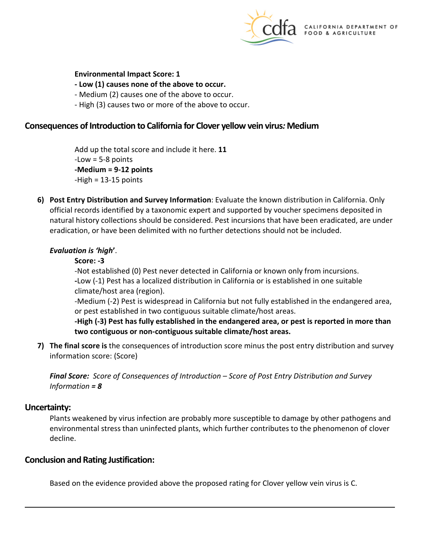

#### **Environmental Impact Score: 1**

- **- Low (1) causes none of the above to occur.**
- Medium (2) causes one of the above to occur.
- High (3) causes two or more of the above to occur.

### **Consequences of Introduction to California for Clover yellow vein virus***:* **Medium**

Add up the total score and include it here. **11**  -Low = 5-8 points **-Medium = 9-12 points**   $-High = 13-15$  points

**6) Post Entry Distribution and Survey Information**: Evaluate the known distribution in California. Only official records identified by a taxonomic expert and supported by voucher specimens deposited in natural history collections should be considered. Pest incursions that have been eradicated, are under eradication, or have been delimited with no further detections should not be included.

#### *Evaluation is 'high***'**.

#### **Score: -3**

-Not established (0) Pest never detected in California or known only from incursions. **-**Low (-1) Pest has a localized distribution in California or is established in one suitable climate/host area (region).

-Medium (-2) Pest is widespread in California but not fully established in the endangered area, or pest established in two contiguous suitable climate/host areas.

**-High (-3) Pest has fully established in the endangered area, or pest is reported in more than two contiguous or non-contiguous suitable climate/host areas.** 

**7) The final score is** the consequences of introduction score minus the post entry distribution and survey information score: (Score)

*Final Score: Score of Consequences of Introduction – Score of Post Entry Distribution and Survey Information = 8* 

### **Uncertainty:**

Plants weakened by virus infection are probably more susceptible to damage by other pathogens and environmental stress than uninfected plants, which further contributes to the phenomenon of clover decline.

### **Conclusion and Rating Justification:**

Based on the evidence provided above the proposed rating for Clover yellow vein virus is C.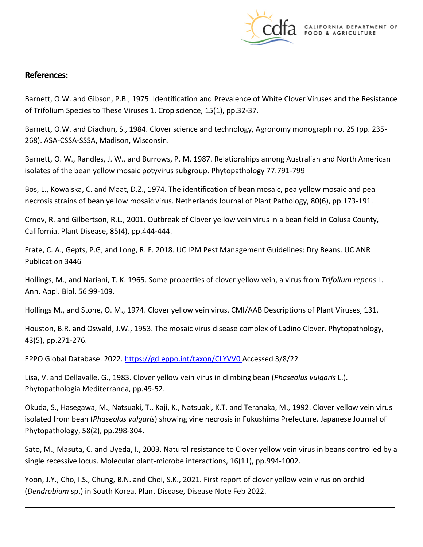

## **References:**

Barnett, O.W. and Gibson, P.B., 1975. Identification and Prevalence of White Clover Viruses and the Resistance of Trifolium Species to These Viruses 1. Crop science, 15(1), pp.32-37.

Barnett, O.W. and Diachun, S., 1984. Clover science and technology, Agronomy monograph no. 25 (pp. 235- 268). ASA-CSSA-SSSA, Madison, Wisconsin.

Barnett, O. W., Randles, J. W., and Burrows, P. M. 1987. Relationships among Australian and North American isolates of the bean yellow mosaic potyvirus subgroup. Phytopathology 77:791-799

Bos, L., Kowalska, C. and Maat, D.Z., 1974. The identification of bean mosaic, pea yellow mosaic and pea necrosis strains of bean yellow mosaic virus. Netherlands Journal of Plant Pathology, 80(6), pp.173-191.

Crnov, R. and Gilbertson, R.L., 2001. Outbreak of Clover yellow vein virus in a bean field in Colusa County, California. Plant Disease, 85(4), pp.444-444.

Frate, C. A., Gepts, P.G, and Long, R. F. 2018. UC IPM Pest Management Guidelines: Dry Beans. UC ANR Publication 3446

Hollings, M., and Nariani, T. K. 1965. Some properties of clover yellow vein, a virus from *Trifolium repens* L. Ann. Appl. Biol. 56:99-109.

Hollings M., and Stone, O. M., 1974. Clover yellow vein virus. CMI/AAB Descriptions of Plant Viruses, 131.

Houston, B.R. and Oswald, J.W., 1953. The mosaic virus disease complex of Ladino Clover. Phytopathology, 43(5), pp.271-276.

EPPO Global Database. 2022. [https://gd.eppo.int/taxon/CLYVV0 A](https://gd.eppo.int/taxon/CLYVV0)ccessed 3/8/22

Lisa, V. and Dellavalle, G., 1983. Clover yellow vein virus in climbing bean (*Phaseolus vulgaris* L.). Phytopathologia Mediterranea, pp.49-52.

Okuda, S., Hasegawa, M., Natsuaki, T., Kaji, K., Natsuaki, K.T. and Teranaka, M., 1992. Clover yellow vein virus isolated from bean (*Phaseolus vulgaris*) showing vine necrosis in Fukushima Prefecture. Japanese Journal of Phytopathology, 58(2), pp.298-304.

Sato, M., Masuta, C. and Uyeda, I., 2003. Natural resistance to Clover yellow vein virus in beans controlled by a single recessive locus. Molecular plant-microbe interactions, 16(11), pp.994-1002.

Yoon, J.Y., Cho, I.S., Chung, B.N. and Choi, S.K., 2021. First report of clover yellow vein virus on orchid (*Dendrobium* sp.) in South Korea. Plant Disease, Disease Note Feb 2022.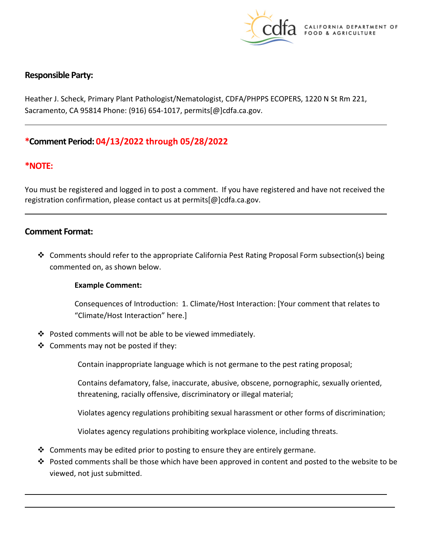

# **Responsible Party:**

Heather J. Scheck, Primary Plant Pathologist/Nematologist, CDFA/PHPPS ECOPERS, 1220 N St Rm 221, Sacramento, CA 95814 Phone: (916) 654-1017, [permits\[@\]cdfa.ca.gov](https://permits[@]cdfa.ca.gov).

# **\*Comment Period: 04/13/2022 through 05/28/2022**

### **\*NOTE:**

You must be registered and logged in to post a comment. If you have registered and have not received the registration confirmation, please contact us at [permits\[@\]cdfa.ca.gov](https://permits[@]cdfa.ca.gov).

### **Comment Format:**

 $\div$  Comments should refer to the appropriate California Pest Rating Proposal Form subsection(s) being commented on, as shown below.

### **Example Comment:**

Consequences of Introduction: 1. Climate/Host Interaction: [Your comment that relates to "Climate/Host Interaction" here.]

- Posted comments will not be able to be viewed immediately.
- $\triangleleft$  Comments may not be posted if they:

Contain inappropriate language which is not germane to the pest rating proposal;

Contains defamatory, false, inaccurate, abusive, obscene, pornographic, sexually oriented, threatening, racially offensive, discriminatory or illegal material;

Violates agency regulations prohibiting sexual harassment or other forms of discrimination;

Violates agency regulations prohibiting workplace violence, including threats.

- $\clubsuit$  Comments may be edited prior to posting to ensure they are entirely germane.
- Posted comments shall be those which have been approved in content and posted to the website to be viewed, not just submitted.